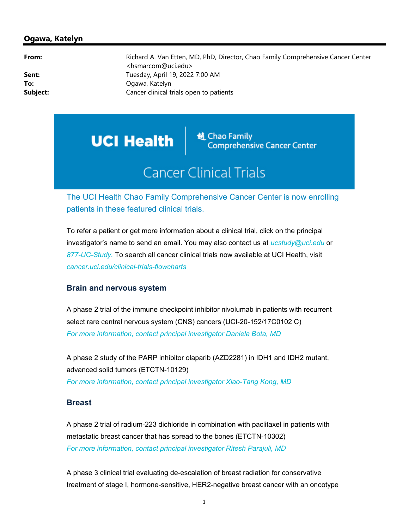## Ogawa, Katelyn

From: Richard A. Van Etten, MD, PhD, Director, Chao Family Comprehensive Cancer Center <hsmarcom@uci.edu> **Sent:** Tuesday, April 19, 2022 7:00 AM To: Campany Controller Controller Controller Controller Controller Controller Controller Controller Controller Controller Controller Controller Controller Controller Controller Controller Controller Controller Controller C **Subject:** Cancer clinical trials open to patients

**UCI Health** 

**随 Chao Family Comprehensive Cancer Center** 

# **Cancer Clinical Trials**

The UCI Health Chao Family Comprehensive Cancer Center is now enrolling patients in these featured clinical trials.

To refer a patient or get more information about a clinical trial, click on the principal investigator's name to send an email. You may also contact us at  $ucstudy@uci.edu$  or 877-UC-Study. To search all cancer clinical trials now available at UCI Health, visit cancer.uci.edu/clinical-trials-flowcharts

## Brain and nervous system

A phase 2 trial of the immune checkpoint inhibitor nivolumab in patients with recurrent select rare central nervous system (CNS) cancers (UCI-20-152/17C0102 C) For more information, contact principal investigator Daniela Bota, MD

A phase 2 study of the PARP inhibitor olaparib (AZD2281) in IDH1 and IDH2 mutant, advanced solid tumors (ETCTN-10129) For more information, contact principal investigator Xiao-Tang Kong, MD

## **Breast**

A phase 2 trial of radium-223 dichloride in combination with paclitaxel in patients with metastatic breast cancer that has spread to the bones (ETCTN-10302) For more information, contact principal investigator Ritesh Parajuli, MD

A phase 3 clinical trial evaluating de-escalation of breast radiation for conservative treatment of stage I, hormone-sensitive, HER2-negative breast cancer with an oncotype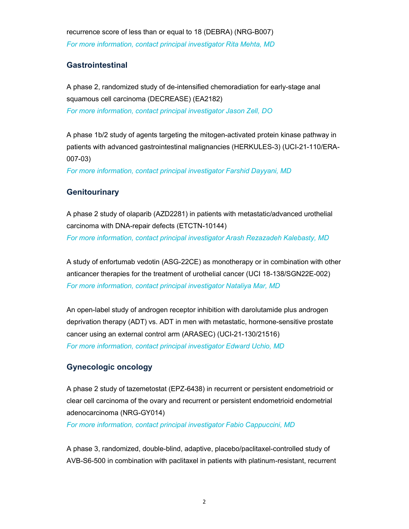recurrence score of less than or equal to 18 (DEBRA) (NRG-B007) For more information, contact principal investigator Rita Mehta, MD

## **Gastrointestinal**

A phase 2, randomized study of de-intensified chemoradiation for early-stage anal squamous cell carcinoma (DECREASE) (EA2182) For more information, contact principal investigator Jason Zell, DO

A phase 1b/2 study of agents targeting the mitogen-activated protein kinase pathway in patients with advanced gastrointestinal malignancies (HERKULES-3) (UCI-21-110/ERA-007-03)

For more information, contact principal investigator Farshid Dayyani, MD

# **Genitourinary**

A phase 2 study of olaparib (AZD2281) in patients with metastatic/advanced urothelial carcinoma with DNA-repair defects (ETCTN-10144) For more information, contact principal investigator Arash Rezazadeh Kalebasty, MD

A study of enfortumab vedotin (ASG-22CE) as monotherapy or in combination with other anticancer therapies for the treatment of urothelial cancer (UCI 18-138/SGN22E-002) For more information, contact principal investigator Nataliya Mar, MD

An open-label study of androgen receptor inhibition with darolutamide plus androgen deprivation therapy (ADT) vs. ADT in men with metastatic, hormone-sensitive prostate cancer using an external control arm (ARASEC) (UCI-21-130/21516) For more information, contact principal investigator Edward Uchio, MD

#### Gynecologic oncology

A phase 2 study of tazemetostat (EPZ-6438) in recurrent or persistent endometrioid or clear cell carcinoma of the ovary and recurrent or persistent endometrioid endometrial adenocarcinoma (NRG-GY014)

For more information, contact principal investigator Fabio Cappuccini, MD

A phase 3, randomized, double-blind, adaptive, placebo/paclitaxel-controlled study of AVB-S6-500 in combination with paclitaxel in patients with platinum-resistant, recurrent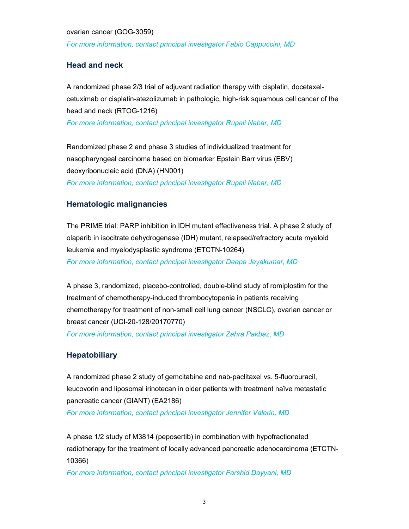ovarian cancer (GOG-3059) For more information, contact principal investigator Fabio Cappuccini, MD

## Head and neck

A randomized phase 2/3 trial of adjuvant radiation therapy with cisplatin, docetaxelcetuximab or cisplatin-atezolizumab in pathologic, high-risk squamous cell cancer of the head and neck (RTOG-1216)

For more information, contact principal investigator Rupali Nabar, MD

Randomized phase 2 and phase 3 studies of individualized treatment for nasopharyngeal carcinoma based on biomarker Epstein Barr virus (EBV) deoxyribonucleic acid (DNA) (HN001) For more information, contact principal investigator Rupali Nabar, MD

# Hematologic malignancies

The PRIME trial: PARP inhibition in IDH mutant effectiveness trial. A phase 2 study of olaparib in isocitrate dehydrogenase (IDH) mutant, relapsed/refractory acute myeloid leukemia and myelodysplastic syndrome (ETCTN-10264) For more information, contact principal investigator Deepa Jeyakumar, MD

A phase 3, randomized, placebo-controlled, double-blind study of romiplostim for the treatment of chemotherapy-induced thrombocytopenia in patients receiving chemotherapy for treatment of non-small cell lung cancer (NSCLC), ovarian cancer or breast cancer (UCI-20-128/20170770) For more information, contact principal investigator Zahra Pakbaz, MD

# **Hepatobiliary**

A randomized phase 2 study of gemcitabine and nab-paclitaxel vs. 5-fluorouracil, leucovorin and liposomal irinotecan in older patients with treatment naïve metastatic pancreatic cancer (GIANT) (EA2186)

For more information, contact principal investigator Jennifer Valerin, MD

A phase 1/2 study of M3814 (peposertib) in combination with hypofractionated radiotherapy for the treatment of locally advanced pancreatic adenocarcinoma (ETCTN-10366)

For more information, contact principal investigator Farshid Dayyani, MD